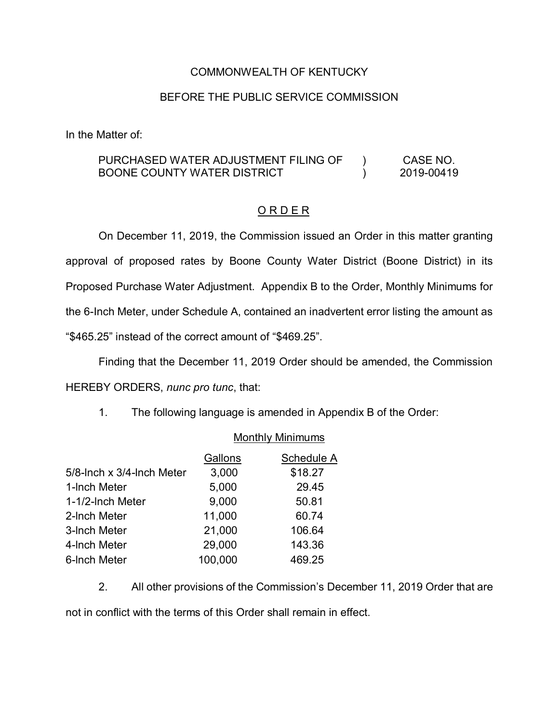## COMMONWEALTH OF KENTUCKY

## BEFORE THE PUBLIC SERVICE COMMISSION

In the Matter of:

## PURCHASED WATER ADJUSTMENT FILING OF BOONE COUNTY WATER DISTRICT  $\overline{)}$  $\mathcal{L}$ CASE NO. 2019-00419

## O R D E R

On December 11, 2019, the Commission issued an Order in this matter granting approval of proposed rates by Boone County Water District (Boone District) in its Proposed Purchase Water Adjustment. Appendix B to the Order, Monthly Minimums for the 6-Inch Meter, under Schedule A, contained an inadvertent error listing the amount as "\$465.25" instead of the correct amount of "\$469.25".

Finding that the December 11, 2019 Order should be amended, the Commission HEREBY ORDERS, *nunc pro tunc*, that:

Monthly Minimums

1. The following language is amended in Appendix B of the Order:

|                           | <b>NOTITILY MITHILIQUIS</b> |            |  |
|---------------------------|-----------------------------|------------|--|
|                           | Gallons                     | Schedule A |  |
| 5/8-lnch x 3/4-lnch Meter | 3,000                       | \$18.27    |  |
| 1-Inch Meter              | 5,000                       | 29.45      |  |
| 1-1/2-Inch Meter          | 9,000                       | 50.81      |  |
| 2-Inch Meter              | 11,000                      | 60.74      |  |
| 3-Inch Meter              | 21,000                      | 106.64     |  |
| 4-Inch Meter              | 29,000                      | 143.36     |  |
| 6-Inch Meter              | 100,000                     | 469.25     |  |

2. All other provisions of the Commission's December 11, 2019 Order that are not in conflict with the terms of this Order shall remain in effect.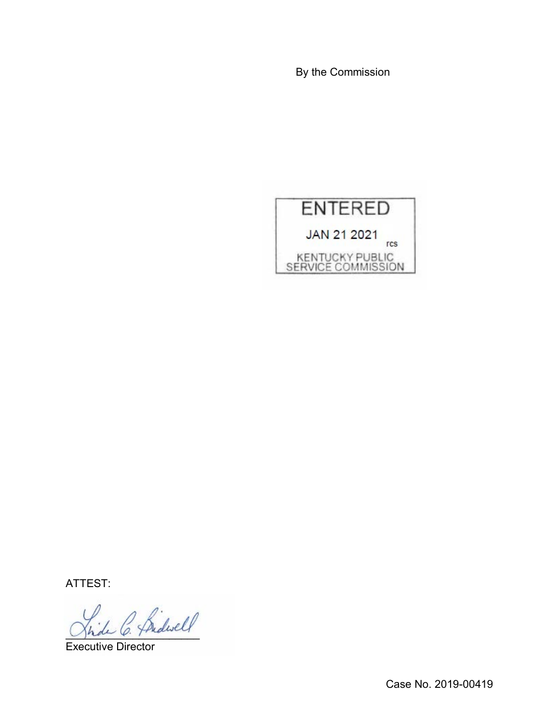By the Commission



ATTEST:

\_\_\_\_\_\_\_\_\_\_\_\_\_\_\_\_\_\_\_\_\_\_

Executive Director

Case No. 2019-00419